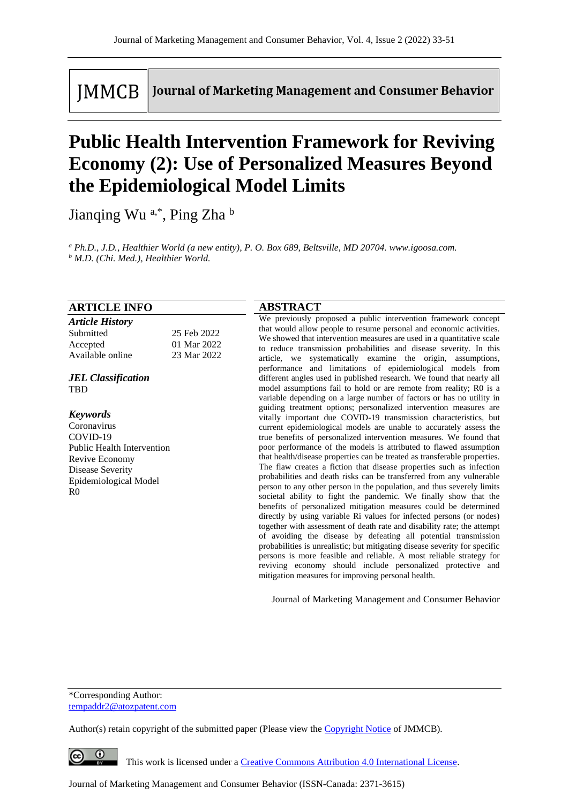**IMMCB** 

Journal of Marketing Management and Consumer Behavior

# **Public Health Intervention Framework for Reviving Economy (2): Use of Personalized Measures Beyond the Epidemiological Model Limits**

Jianqing Wu<sup>a,\*</sup>, Ping Zha<sup>b</sup>

*<sup>a</sup> Ph.D., J.D., Healthier World (a new entity), P. O. Box 689, Beltsville, MD 20704. www.igoosa.com. <sup>b</sup> M.D. (Chi. Med.), Healthier World.*

## **ARTICLE INFO**

| <b>Article History</b> |             |
|------------------------|-------------|
| Submitted              | 25 Feb 2022 |
| Accepted               | 01 Mar 2022 |
| Available online       | 23 Mar 2022 |

*JEL Classification* TBD

#### *Keywords*

Coronavirus COVID-19 Public Health Intervention Revive Economy Disease Severity Epidemiological Model R0

## **ABSTRACT**

We previously proposed a public intervention framework concept that would allow people to resume personal and economic activities. We showed that intervention measures are used in a quantitative scale to reduce transmission probabilities and disease severity. In this article, we systematically examine the origin, assumptions, performance and limitations of epidemiological models from different angles used in published research. We found that nearly all model assumptions fail to hold or are remote from reality; R0 is a variable depending on a large number of factors or has no utility in guiding treatment options; personalized intervention measures are vitally important due COVID-19 transmission characteristics, but current epidemiological models are unable to accurately assess the true benefits of personalized intervention measures. We found that poor performance of the models is attributed to flawed assumption that health/disease properties can be treated as transferable properties. The flaw creates a fiction that disease properties such as infection probabilities and death risks can be transferred from any vulnerable person to any other person in the population, and thus severely limits societal ability to fight the pandemic. We finally show that the benefits of personalized mitigation measures could be determined directly by using variable Ri values for infected persons (or nodes) together with assessment of death rate and disability rate; the attempt of avoiding the disease by defeating all potential transmission probabilities is unrealistic; but mitigating disease severity for specific persons is more feasible and reliable. A most reliable strategy for reviving economy should include personalized protective and mitigation measures for improving personal health.

Journal of Marketing Management and Consumer Behavior

\*Corresponding Author: tempaddr2@atozpatent.com

Author(s) retain copyright of the submitted paper (Please view th[e Copyright Notice](http://www.journal-of-marketing-management-and-consumer-behavior.com/index.php/JMMCB/about/submissions#copyrightNotice) of JMMCB).

 $\bullet$ 

This work is licensed under a [Creative Commons Attribution 4.0 International License.](http://creativecommons.org/licenses/by/4.0/)

Journal of Marketing Management and Consumer Behavior (ISSN-Canada: 2371-3615)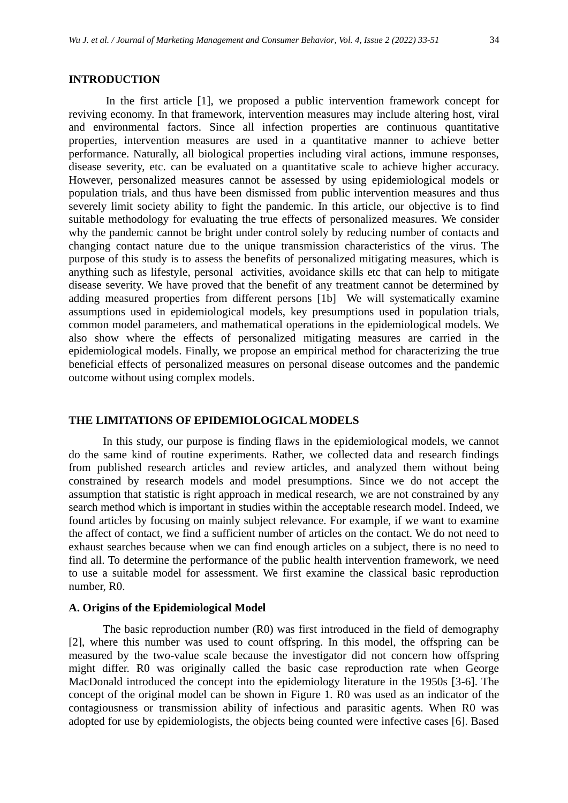## **INTRODUCTION**

In the first article [1], we proposed a public intervention framework concept for reviving economy. In that framework, intervention measures may include altering host, viral and environmental factors. Since all infection properties are continuous quantitative properties, intervention measures are used in a quantitative manner to achieve better performance. Naturally, all biological properties including viral actions, immune responses, disease severity, etc. can be evaluated on a quantitative scale to achieve higher accuracy. However, personalized measures cannot be assessed by using epidemiological models or population trials, and thus have been dismissed from public intervention measures and thus severely limit society ability to fight the pandemic. In this article, our objective is to find suitable methodology for evaluating the true effects of personalized measures. We consider why the pandemic cannot be bright under control solely by reducing number of contacts and changing contact nature due to the unique transmission characteristics of the virus. The purpose of this study is to assess the benefits of personalized mitigating measures, which is anything such as lifestyle, personal activities, avoidance skills etc that can help to mitigate disease severity. We have proved that the benefit of any treatment cannot be determined by adding measured properties from different persons [1b] We will systematically examine assumptions used in epidemiological models, key presumptions used in population trials, common model parameters, and mathematical operations in the epidemiological models. We also show where the effects of personalized mitigating measures are carried in the epidemiological models. Finally, we propose an empirical method for characterizing the true beneficial effects of personalized measures on personal disease outcomes and the pandemic outcome without using complex models.

#### **THE LIMITATIONS OF EPIDEMIOLOGICAL MODELS**

In this study, our purpose is finding flaws in the epidemiological models, we cannot do the same kind of routine experiments. Rather, we collected data and research findings from published research articles and review articles, and analyzed them without being constrained by research models and model presumptions. Since we do not accept the assumption that statistic is right approach in medical research, we are not constrained by any search method which is important in studies within the acceptable research model. Indeed, we found articles by focusing on mainly subject relevance. For example, if we want to examine the affect of contact, we find a sufficient number of articles on the contact. We do not need to exhaust searches because when we can find enough articles on a subject, there is no need to find all. To determine the performance of the public health intervention framework, we need to use a suitable model for assessment. We first examine the classical basic reproduction number, R0.

#### **A. Origins of the Epidemiological Model**

The basic reproduction number (R0) was first introduced in the field of demography [2], where this number was used to count offspring. In this model, the offspring can be measured by the two-value scale because the investigator did not concern how offspring might differ. R0 was originally called the basic case reproduction rate when George MacDonald introduced the concept into the epidemiology literature in the 1950s [3-6]. The concept of the original model can be shown in Figure 1. R0 was used as an indicator of the contagiousness or transmission ability of infectious and parasitic agents. When R0 was adopted for use by epidemiologists, the objects being counted were infective cases [6]. Based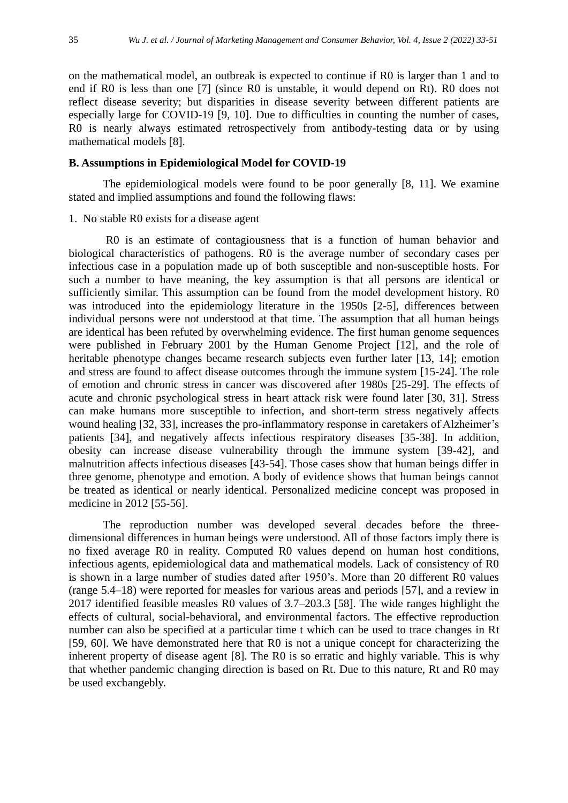on the mathematical model, an outbreak is expected to continue if R0 is larger than 1 and to end if R0 is less than one [7] (since R0 is unstable, it would depend on Rt). R0 does not reflect disease severity; but disparities in disease severity between different patients are especially large for COVID-19 [9, 10]. Due to difficulties in counting the number of cases, R0 is nearly always estimated retrospectively from antibody-testing data or by using mathematical models [8].

## **B. Assumptions in Epidemiological Model for COVID-19**

The epidemiological models were found to be poor generally [8, 11]. We examine stated and implied assumptions and found the following flaws:

#### 1. No stable R0 exists for a disease agent

R0 is an estimate of contagiousness that is a function of human behavior and biological characteristics of pathogens. R0 is the average number of secondary cases per infectious case in a population made up of both susceptible and non-susceptible hosts. For such a number to have meaning, the key assumption is that all persons are identical or sufficiently similar. This assumption can be found from the model development history. R0 was introduced into the epidemiology literature in the 1950s [2-5], differences between individual persons were not understood at that time. The assumption that all human beings are identical has been refuted by overwhelming evidence. The first human genome sequences were published in February 2001 by the Human Genome Project [12], and the role of heritable phenotype changes became research subjects even further later [13, 14]; emotion and stress are found to affect disease outcomes through the immune system [15-24]. The role of emotion and chronic stress in cancer was discovered after 1980s [25-29]. The effects of acute and chronic psychological stress in heart attack risk were found later [30, 31]. Stress can make humans more susceptible to infection, and short-term stress negatively affects wound healing [32, 33], increases the pro-inflammatory response in caretakers of Alzheimer's patients [34], and negatively affects infectious respiratory diseases [35-38]. In addition, obesity can increase disease vulnerability through the immune system [39-42], and malnutrition affects infectious diseases [43-54]. Those cases show that human beings differ in three genome, phenotype and emotion. A body of evidence shows that human beings cannot be treated as identical or nearly identical. Personalized medicine concept was proposed in medicine in 2012 [55-56].

The reproduction number was developed several decades before the threedimensional differences in human beings were understood. All of those factors imply there is no fixed average R0 in reality. Computed R0 values depend on human host conditions, infectious agents, epidemiological data and mathematical models. Lack of consistency of R0 is shown in a large number of studies dated after 1950's. More than 20 different R0 values (range 5.4–18) were reported for measles for various areas and periods [57], and a review in 2017 identified feasible measles R0 values of 3.7–203.3 [58]. The wide ranges highlight the effects of cultural, social-behavioral, and environmental factors. The effective reproduction number can also be specified at a particular time t which can be used to trace changes in Rt [59, 60]. We have demonstrated here that R0 is not a unique concept for characterizing the inherent property of disease agent [8]. The R0 is so erratic and highly variable. This is why that whether pandemic changing direction is based on Rt. Due to this nature, Rt and R0 may be used exchangebly.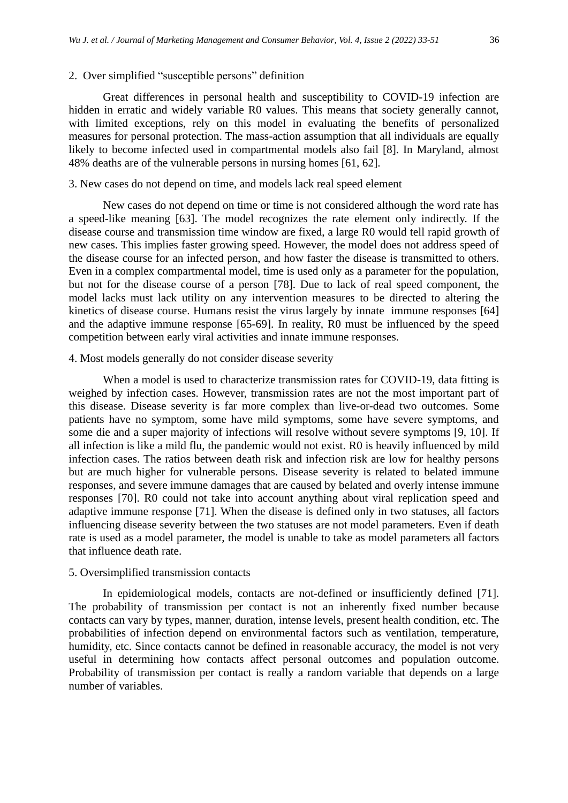## 2. Over simplified "susceptible persons" definition

Great differences in personal health and susceptibility to COVID-19 infection are hidden in erratic and widely variable R0 values. This means that society generally cannot, with limited exceptions, rely on this model in evaluating the benefits of personalized measures for personal protection. The mass-action assumption that all individuals are equally likely to become infected used in compartmental models also fail [8]. In Maryland, almost 48% deaths are of the vulnerable persons in nursing homes [61, 62].

## 3. New cases do not depend on time, and models lack real speed element

New cases do not depend on time or time is not considered although the word rate has a speed-like meaning [63]. The model recognizes the rate element only indirectly. If the disease course and transmission time window are fixed, a large R0 would tell rapid growth of new cases. This implies faster growing speed. However, the model does not address speed of the disease course for an infected person, and how faster the disease is transmitted to others. Even in a complex compartmental model, time is used only as a parameter for the population, but not for the disease course of a person [78]. Due to lack of real speed component, the model lacks must lack utility on any intervention measures to be directed to altering the kinetics of disease course. Humans resist the virus largely by innate immune responses [64] and the adaptive immune response [65-69]. In reality, R0 must be influenced by the speed competition between early viral activities and innate immune responses.

## 4. Most models generally do not consider disease severity

When a model is used to characterize transmission rates for COVID-19, data fitting is weighed by infection cases. However, transmission rates are not the most important part of this disease. Disease severity is far more complex than live-or-dead two outcomes. Some patients have no symptom, some have mild symptoms, some have severe symptoms, and some die and a super majority of infections will resolve without severe symptoms [9, 10]. If all infection is like a mild flu, the pandemic would not exist. R0 is heavily influenced by mild infection cases. The ratios between death risk and infection risk are low for healthy persons but are much higher for vulnerable persons. Disease severity is related to belated immune responses, and severe immune damages that are caused by belated and overly intense immune responses [70]. R0 could not take into account anything about viral replication speed and adaptive immune response [71]. When the disease is defined only in two statuses, all factors influencing disease severity between the two statuses are not model parameters. Even if death rate is used as a model parameter, the model is unable to take as model parameters all factors that influence death rate.

## 5. Oversimplified transmission contacts

In epidemiological models, contacts are not-defined or insufficiently defined [71]. The probability of transmission per contact is not an inherently fixed number because contacts can vary by types, manner, duration, intense levels, present health condition, etc. The probabilities of infection depend on environmental factors such as ventilation, temperature, humidity, etc. Since contacts cannot be defined in reasonable accuracy, the model is not very useful in determining how contacts affect personal outcomes and population outcome. Probability of transmission per contact is really a random variable that depends on a large number of variables.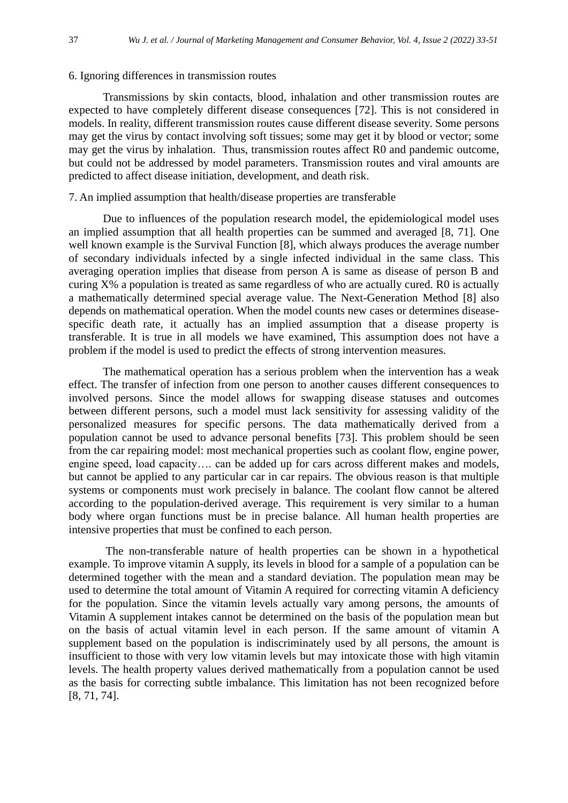#### 6. Ignoring differences in transmission routes

Transmissions by skin contacts, blood, inhalation and other transmission routes are expected to have completely different disease consequences [72]. This is not considered in models. In reality, different transmission routes cause different disease severity. Some persons may get the virus by contact involving soft tissues; some may get it by blood or vector; some may get the virus by inhalation. Thus, transmission routes affect R0 and pandemic outcome, but could not be addressed by model parameters. Transmission routes and viral amounts are predicted to affect disease initiation, development, and death risk.

#### 7. An implied assumption that health/disease properties are transferable

Due to influences of the population research model, the epidemiological model uses an implied assumption that all health properties can be summed and averaged [8, 71]. One well known example is the Survival Function [8], which always produces the average number of secondary individuals infected by a single infected individual in the same class. This averaging operation implies that disease from person A is same as disease of person B and curing X% a population is treated as same regardless of who are actually cured. R0 is actually a mathematically determined special average value. The Next-Generation Method [8] also depends on mathematical operation. When the model counts new cases or determines diseasespecific death rate, it actually has an implied assumption that a disease property is transferable. It is true in all models we have examined, This assumption does not have a problem if the model is used to predict the effects of strong intervention measures.

The mathematical operation has a serious problem when the intervention has a weak effect. The transfer of infection from one person to another causes different consequences to involved persons. Since the model allows for swapping disease statuses and outcomes between different persons, such a model must lack sensitivity for assessing validity of the personalized measures for specific persons. The data mathematically derived from a population cannot be used to advance personal benefits [73]. This problem should be seen from the car repairing model: most mechanical properties such as coolant flow, engine power, engine speed, load capacity…. can be added up for cars across different makes and models, but cannot be applied to any particular car in car repairs. The obvious reason is that multiple systems or components must work precisely in balance. The coolant flow cannot be altered according to the population-derived average. This requirement is very similar to a human body where organ functions must be in precise balance. All human health properties are intensive properties that must be confined to each person.

The non-transferable nature of health properties can be shown in a hypothetical example. To improve vitamin A supply, its levels in blood for a sample of a population can be determined together with the mean and a standard deviation. The population mean may be used to determine the total amount of Vitamin A required for correcting vitamin A deficiency for the population. Since the vitamin levels actually vary among persons, the amounts of Vitamin A supplement intakes cannot be determined on the basis of the population mean but on the basis of actual vitamin level in each person. If the same amount of vitamin A supplement based on the population is indiscriminately used by all persons, the amount is insufficient to those with very low vitamin levels but may intoxicate those with high vitamin levels. The health property values derived mathematically from a population cannot be used as the basis for correcting subtle imbalance. This limitation has not been recognized before [8, 71, 74].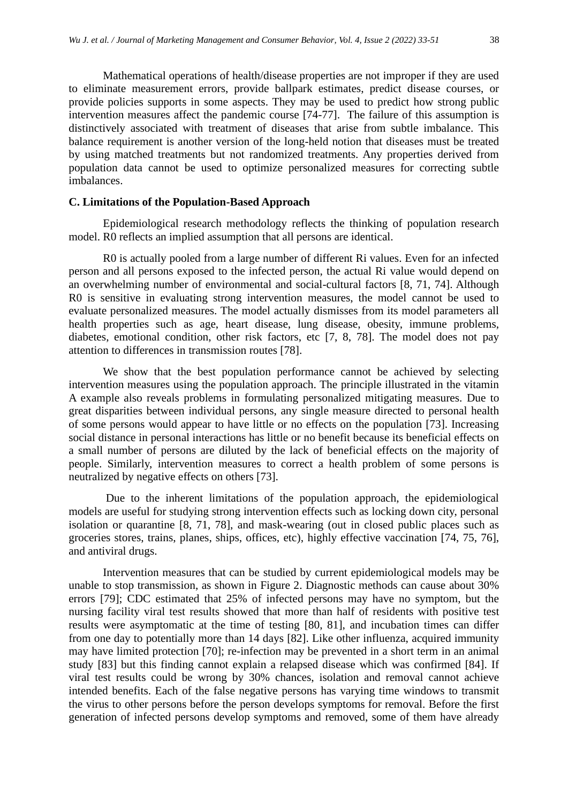Mathematical operations of health/disease properties are not improper if they are used to eliminate measurement errors, provide ballpark estimates, predict disease courses, or provide policies supports in some aspects. They may be used to predict how strong public intervention measures affect the pandemic course [74-77]. The failure of this assumption is distinctively associated with treatment of diseases that arise from subtle imbalance. This balance requirement is another version of the long-held notion that diseases must be treated by using matched treatments but not randomized treatments. Any properties derived from population data cannot be used to optimize personalized measures for correcting subtle imbalances.

## **C. Limitations of the Population-Based Approach**

Epidemiological research methodology reflects the thinking of population research model. R0 reflects an implied assumption that all persons are identical.

R0 is actually pooled from a large number of different Ri values. Even for an infected person and all persons exposed to the infected person, the actual Ri value would depend on an overwhelming number of environmental and social-cultural factors [8, 71, 74]. Although R0 is sensitive in evaluating strong intervention measures, the model cannot be used to evaluate personalized measures. The model actually dismisses from its model parameters all health properties such as age, heart disease, lung disease, obesity, immune problems, diabetes, emotional condition, other risk factors, etc [7, 8, 78]. The model does not pay attention to differences in transmission routes [78].

We show that the best population performance cannot be achieved by selecting intervention measures using the population approach. The principle illustrated in the vitamin A example also reveals problems in formulating personalized mitigating measures. Due to great disparities between individual persons, any single measure directed to personal health of some persons would appear to have little or no effects on the population [73]. Increasing social distance in personal interactions has little or no benefit because its beneficial effects on a small number of persons are diluted by the lack of beneficial effects on the majority of people. Similarly, intervention measures to correct a health problem of some persons is neutralized by negative effects on others [73].

Due to the inherent limitations of the population approach, the epidemiological models are useful for studying strong intervention effects such as locking down city, personal isolation or quarantine [8, 71, 78], and mask-wearing (out in closed public places such as groceries stores, trains, planes, ships, offices, etc), highly effective vaccination [74, 75, 76], and antiviral drugs.

Intervention measures that can be studied by current epidemiological models may be unable to stop transmission, as shown in Figure 2. Diagnostic methods can cause about 30% errors [79]; CDC estimated that 25% of infected persons may have no symptom, but the nursing facility viral test results showed that more than half of residents with positive test results were asymptomatic at the time of testing [80, 81], and incubation times can differ from one day to potentially more than 14 days [82]. Like other influenza, acquired immunity may have limited protection [70]; re-infection may be prevented in a short term in an animal study [83] but this finding cannot explain a relapsed disease which was confirmed [84]. If viral test results could be wrong by 30% chances, isolation and removal cannot achieve intended benefits. Each of the false negative persons has varying time windows to transmit the virus to other persons before the person develops symptoms for removal. Before the first generation of infected persons develop symptoms and removed, some of them have already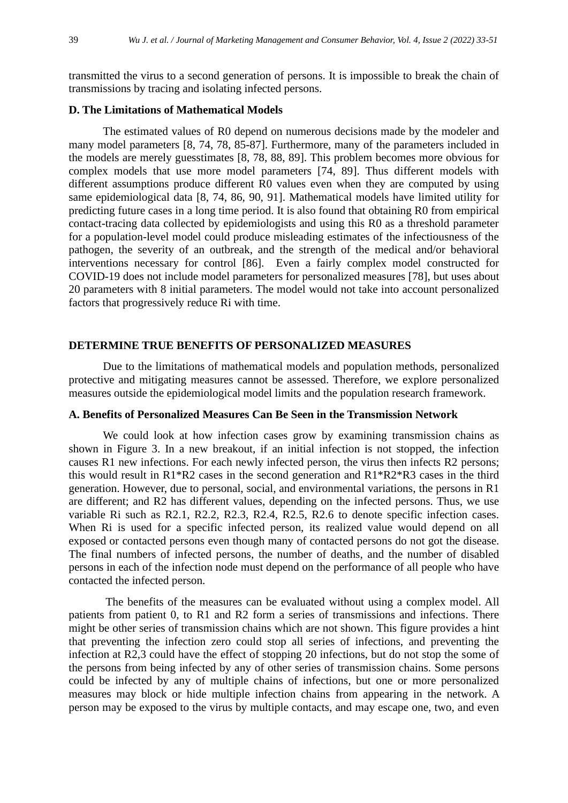transmitted the virus to a second generation of persons. It is impossible to break the chain of transmissions by tracing and isolating infected persons.

## **D. The Limitations of Mathematical Models**

The estimated values of R0 depend on numerous decisions made by the modeler and many model parameters [8, 74, 78, 85-87]. Furthermore, many of the parameters included in the models are merely guesstimates [8, 78, 88, 89]. This problem becomes more obvious for complex models that use more model parameters [74, 89]. Thus different models with different assumptions produce different R0 values even when they are computed by using same epidemiological data [8, 74, 86, 90, 91]. Mathematical models have limited utility for predicting future cases in a long time period. It is also found that obtaining R0 from empirical contact-tracing data collected by epidemiologists and using this R0 as a threshold parameter for a population-level model could produce misleading estimates of the infectiousness of the pathogen, the severity of an outbreak, and the strength of the medical and/or behavioral interventions necessary for control [86]. Even a fairly complex model constructed for COVID-19 does not include model parameters for personalized measures [78], but uses about 20 parameters with 8 initial parameters. The model would not take into account personalized factors that progressively reduce Ri with time.

#### **DETERMINE TRUE BENEFITS OF PERSONALIZED MEASURES**

Due to the limitations of mathematical models and population methods, personalized protective and mitigating measures cannot be assessed. Therefore, we explore personalized measures outside the epidemiological model limits and the population research framework.

#### **A. Benefits of Personalized Measures Can Be Seen in the Transmission Network**

We could look at how infection cases grow by examining transmission chains as shown in Figure 3. In a new breakout, if an initial infection is not stopped, the infection causes R1 new infections. For each newly infected person, the virus then infects R2 persons; this would result in R1\*R2 cases in the second generation and R1\*R2\*R3 cases in the third generation. However, due to personal, social, and environmental variations, the persons in R1 are different; and R2 has different values, depending on the infected persons. Thus, we use variable Ri such as R2.1, R2.2, R2.3, R2.4, R2.5, R2.6 to denote specific infection cases. When Ri is used for a specific infected person, its realized value would depend on all exposed or contacted persons even though many of contacted persons do not got the disease. The final numbers of infected persons, the number of deaths, and the number of disabled persons in each of the infection node must depend on the performance of all people who have contacted the infected person.

The benefits of the measures can be evaluated without using a complex model. All patients from patient 0, to R1 and R2 form a series of transmissions and infections. There might be other series of transmission chains which are not shown. This figure provides a hint that preventing the infection zero could stop all series of infections, and preventing the infection at R2,3 could have the effect of stopping 20 infections, but do not stop the some of the persons from being infected by any of other series of transmission chains. Some persons could be infected by any of multiple chains of infections, but one or more personalized measures may block or hide multiple infection chains from appearing in the network. A person may be exposed to the virus by multiple contacts, and may escape one, two, and even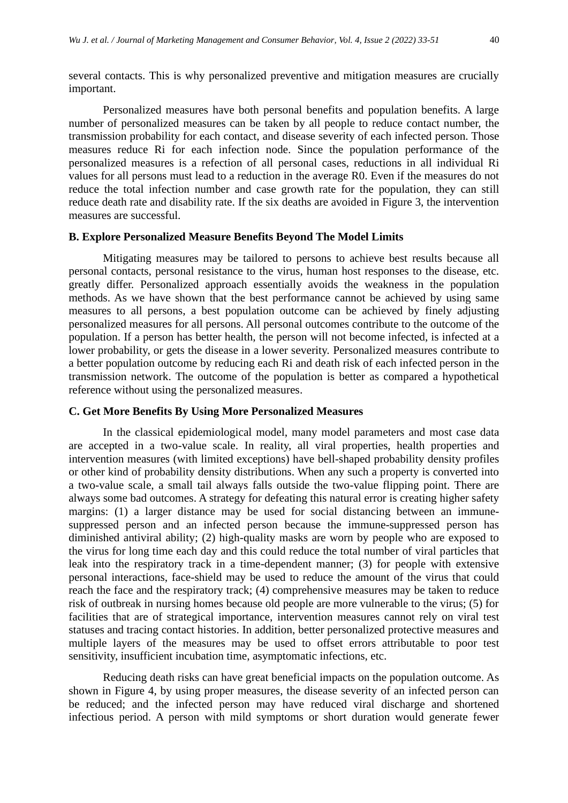several contacts. This is why personalized preventive and mitigation measures are crucially important.

Personalized measures have both personal benefits and population benefits. A large number of personalized measures can be taken by all people to reduce contact number, the transmission probability for each contact, and disease severity of each infected person. Those measures reduce Ri for each infection node. Since the population performance of the personalized measures is a refection of all personal cases, reductions in all individual Ri values for all persons must lead to a reduction in the average R0. Even if the measures do not reduce the total infection number and case growth rate for the population, they can still reduce death rate and disability rate. If the six deaths are avoided in Figure 3, the intervention measures are successful.

## **B. Explore Personalized Measure Benefits Beyond The Model Limits**

Mitigating measures may be tailored to persons to achieve best results because all personal contacts, personal resistance to the virus, human host responses to the disease, etc. greatly differ. Personalized approach essentially avoids the weakness in the population methods. As we have shown that the best performance cannot be achieved by using same measures to all persons, a best population outcome can be achieved by finely adjusting personalized measures for all persons. All personal outcomes contribute to the outcome of the population. If a person has better health, the person will not become infected, is infected at a lower probability, or gets the disease in a lower severity. Personalized measures contribute to a better population outcome by reducing each Ri and death risk of each infected person in the transmission network. The outcome of the population is better as compared a hypothetical reference without using the personalized measures.

#### **C. Get More Benefits By Using More Personalized Measures**

In the classical epidemiological model, many model parameters and most case data are accepted in a two-value scale. In reality, all viral properties, health properties and intervention measures (with limited exceptions) have bell-shaped probability density profiles or other kind of probability density distributions. When any such a property is converted into a two-value scale, a small tail always falls outside the two-value flipping point. There are always some bad outcomes. A strategy for defeating this natural error is creating higher safety margins: (1) a larger distance may be used for social distancing between an immunesuppressed person and an infected person because the immune-suppressed person has diminished antiviral ability; (2) high-quality masks are worn by people who are exposed to the virus for long time each day and this could reduce the total number of viral particles that leak into the respiratory track in a time-dependent manner; (3) for people with extensive personal interactions, face-shield may be used to reduce the amount of the virus that could reach the face and the respiratory track; (4) comprehensive measures may be taken to reduce risk of outbreak in nursing homes because old people are more vulnerable to the virus; (5) for facilities that are of strategical importance, intervention measures cannot rely on viral test statuses and tracing contact histories. In addition, better personalized protective measures and multiple layers of the measures may be used to offset errors attributable to poor test sensitivity, insufficient incubation time, asymptomatic infections, etc.

Reducing death risks can have great beneficial impacts on the population outcome. As shown in Figure 4, by using proper measures, the disease severity of an infected person can be reduced; and the infected person may have reduced viral discharge and shortened infectious period. A person with mild symptoms or short duration would generate fewer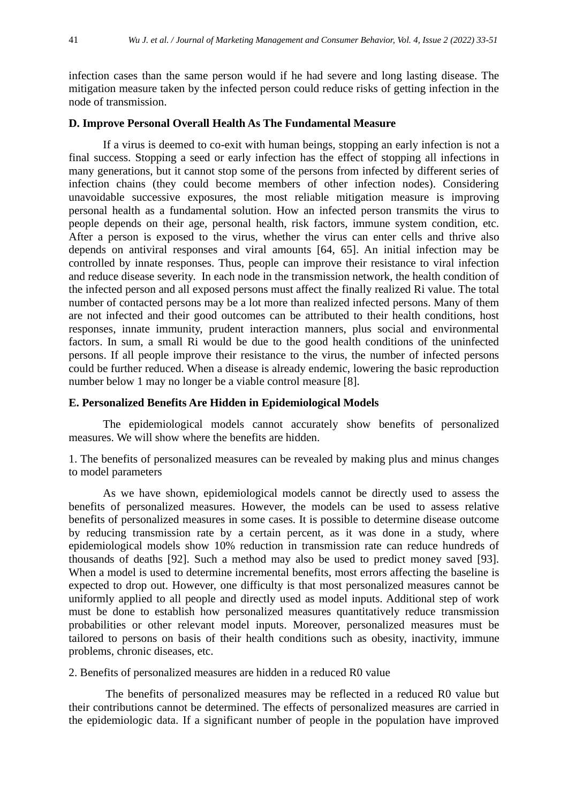infection cases than the same person would if he had severe and long lasting disease. The mitigation measure taken by the infected person could reduce risks of getting infection in the node of transmission.

## **D. Improve Personal Overall Health As The Fundamental Measure**

If a virus is deemed to co-exit with human beings, stopping an early infection is not a final success. Stopping a seed or early infection has the effect of stopping all infections in many generations, but it cannot stop some of the persons from infected by different series of infection chains (they could become members of other infection nodes). Considering unavoidable successive exposures, the most reliable mitigation measure is improving personal health as a fundamental solution. How an infected person transmits the virus to people depends on their age, personal health, risk factors, immune system condition, etc. After a person is exposed to the virus, whether the virus can enter cells and thrive also depends on antiviral responses and viral amounts [64, 65]. An initial infection may be controlled by innate responses. Thus, people can improve their resistance to viral infection and reduce disease severity. In each node in the transmission network, the health condition of the infected person and all exposed persons must affect the finally realized Ri value. The total number of contacted persons may be a lot more than realized infected persons. Many of them are not infected and their good outcomes can be attributed to their health conditions, host responses, innate immunity, prudent interaction manners, plus social and environmental factors. In sum, a small Ri would be due to the good health conditions of the uninfected persons. If all people improve their resistance to the virus, the number of infected persons could be further reduced. When a disease is already endemic, lowering the basic reproduction number below 1 may no longer be a viable control measure [8].

## **E. Personalized Benefits Are Hidden in Epidemiological Models**

The epidemiological models cannot accurately show benefits of personalized measures. We will show where the benefits are hidden.

1. The benefits of personalized measures can be revealed by making plus and minus changes to model parameters

As we have shown, epidemiological models cannot be directly used to assess the benefits of personalized measures. However, the models can be used to assess relative benefits of personalized measures in some cases. It is possible to determine disease outcome by reducing transmission rate by a certain percent, as it was done in a study, where epidemiological models show 10% reduction in transmission rate can reduce hundreds of thousands of deaths [92]. Such a method may also be used to predict money saved [93]. When a model is used to determine incremental benefits, most errors affecting the baseline is expected to drop out. However, one difficulty is that most personalized measures cannot be uniformly applied to all people and directly used as model inputs. Additional step of work must be done to establish how personalized measures quantitatively reduce transmission probabilities or other relevant model inputs. Moreover, personalized measures must be tailored to persons on basis of their health conditions such as obesity, inactivity, immune problems, chronic diseases, etc.

2. Benefits of personalized measures are hidden in a reduced R0 value

The benefits of personalized measures may be reflected in a reduced R0 value but their contributions cannot be determined. The effects of personalized measures are carried in the epidemiologic data. If a significant number of people in the population have improved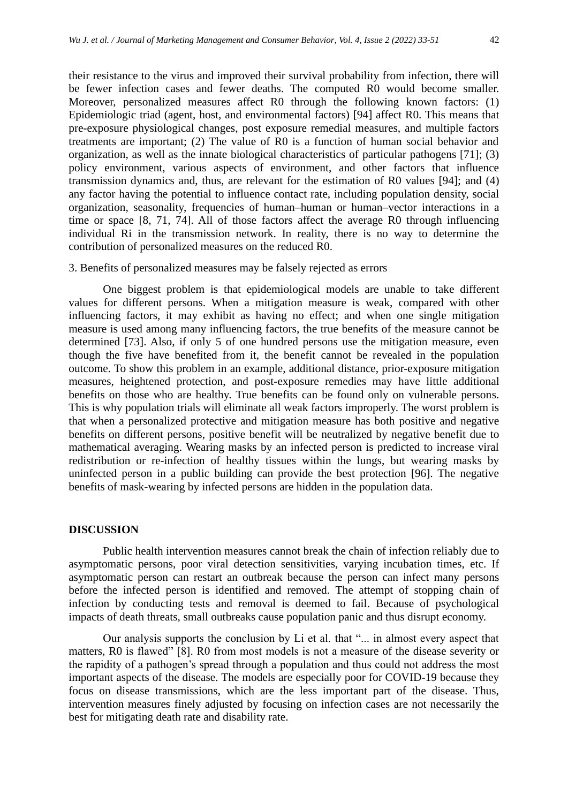their resistance to the virus and improved their survival probability from infection, there will be fewer infection cases and fewer deaths. The computed R0 would become smaller. Moreover, personalized measures affect R0 through the following known factors: (1) Epidemiologic triad (agent, host, and environmental factors) [94] affect R0. This means that pre-exposure physiological changes, post exposure remedial measures, and multiple factors treatments are important; (2) The value of R0 is a function of human social behavior and organization, as well as the innate biological characteristics of particular pathogens [71]; (3) policy environment, various aspects of environment, and other factors that influence transmission dynamics and, thus, are relevant for the estimation of R0 values [94]; and (4) any factor having the potential to influence contact rate, including population density, social organization, seasonality, frequencies of human–human or human–vector interactions in a time or space [8, 71, 74]. All of those factors affect the average R0 through influencing individual Ri in the transmission network. In reality, there is no way to determine the contribution of personalized measures on the reduced R0.

#### 3. Benefits of personalized measures may be falsely rejected as errors

One biggest problem is that epidemiological models are unable to take different values for different persons. When a mitigation measure is weak, compared with other influencing factors, it may exhibit as having no effect; and when one single mitigation measure is used among many influencing factors, the true benefits of the measure cannot be determined [73]. Also, if only 5 of one hundred persons use the mitigation measure, even though the five have benefited from it, the benefit cannot be revealed in the population outcome. To show this problem in an example, additional distance, prior-exposure mitigation measures, heightened protection, and post-exposure remedies may have little additional benefits on those who are healthy. True benefits can be found only on vulnerable persons. This is why population trials will eliminate all weak factors improperly. The worst problem is that when a personalized protective and mitigation measure has both positive and negative benefits on different persons, positive benefit will be neutralized by negative benefit due to mathematical averaging. Wearing masks by an infected person is predicted to increase viral redistribution or re-infection of healthy tissues within the lungs, but wearing masks by uninfected person in a public building can provide the best protection [96]. The negative benefits of mask-wearing by infected persons are hidden in the population data.

#### **DISCUSSION**

Public health intervention measures cannot break the chain of infection reliably due to asymptomatic persons, poor viral detection sensitivities, varying incubation times, etc. If asymptomatic person can restart an outbreak because the person can infect many persons before the infected person is identified and removed. The attempt of stopping chain of infection by conducting tests and removal is deemed to fail. Because of psychological impacts of death threats, small outbreaks cause population panic and thus disrupt economy.

Our analysis supports the conclusion by Li et al. that "... in almost every aspect that matters, R0 is flawed" [8]. R0 from most models is not a measure of the disease severity or the rapidity of a pathogen's spread through a population and thus could not address the most important aspects of the disease. The models are especially poor for COVID-19 because they focus on disease transmissions, which are the less important part of the disease. Thus, intervention measures finely adjusted by focusing on infection cases are not necessarily the best for mitigating death rate and disability rate.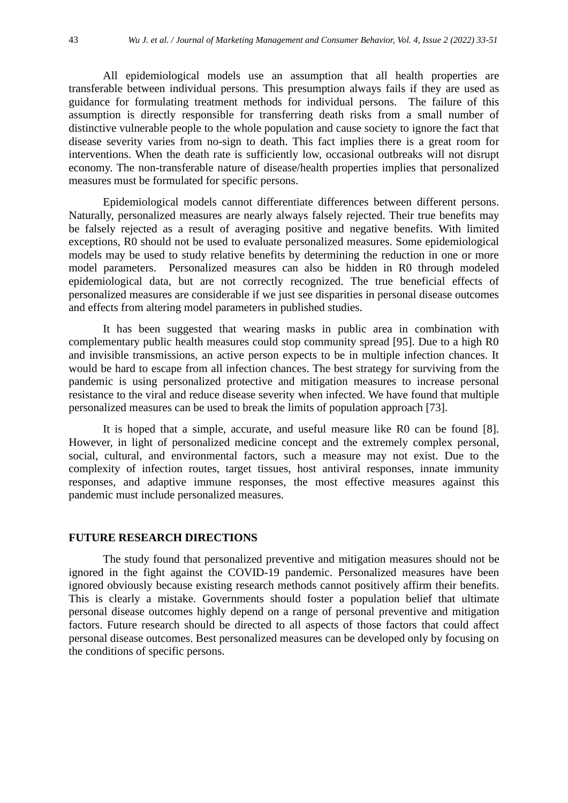All epidemiological models use an assumption that all health properties are transferable between individual persons. This presumption always fails if they are used as guidance for formulating treatment methods for individual persons. The failure of this assumption is directly responsible for transferring death risks from a small number of distinctive vulnerable people to the whole population and cause society to ignore the fact that disease severity varies from no-sign to death. This fact implies there is a great room for interventions. When the death rate is sufficiently low, occasional outbreaks will not disrupt economy. The non-transferable nature of disease/health properties implies that personalized measures must be formulated for specific persons.

Epidemiological models cannot differentiate differences between different persons. Naturally, personalized measures are nearly always falsely rejected. Their true benefits may be falsely rejected as a result of averaging positive and negative benefits. With limited exceptions, R0 should not be used to evaluate personalized measures. Some epidemiological models may be used to study relative benefits by determining the reduction in one or more model parameters. Personalized measures can also be hidden in R0 through modeled epidemiological data, but are not correctly recognized. The true beneficial effects of personalized measures are considerable if we just see disparities in personal disease outcomes and effects from altering model parameters in published studies.

It has been suggested that wearing masks in public area in combination with complementary public health measures could stop community spread [95]. Due to a high R0 and invisible transmissions, an active person expects to be in multiple infection chances. It would be hard to escape from all infection chances. The best strategy for surviving from the pandemic is using personalized protective and mitigation measures to increase personal resistance to the viral and reduce disease severity when infected. We have found that multiple personalized measures can be used to break the limits of population approach [73].

It is hoped that a simple, accurate, and useful measure like R0 can be found [8]. However, in light of personalized medicine concept and the extremely complex personal, social, cultural, and environmental factors, such a measure may not exist. Due to the complexity of infection routes, target tissues, host antiviral responses, innate immunity responses, and adaptive immune responses, the most effective measures against this pandemic must include personalized measures.

## **FUTURE RESEARCH DIRECTIONS**

The study found that personalized preventive and mitigation measures should not be ignored in the fight against the COVID-19 pandemic. Personalized measures have been ignored obviously because existing research methods cannot positively affirm their benefits. This is clearly a mistake. Governments should foster a population belief that ultimate personal disease outcomes highly depend on a range of personal preventive and mitigation factors. Future research should be directed to all aspects of those factors that could affect personal disease outcomes. Best personalized measures can be developed only by focusing on the conditions of specific persons.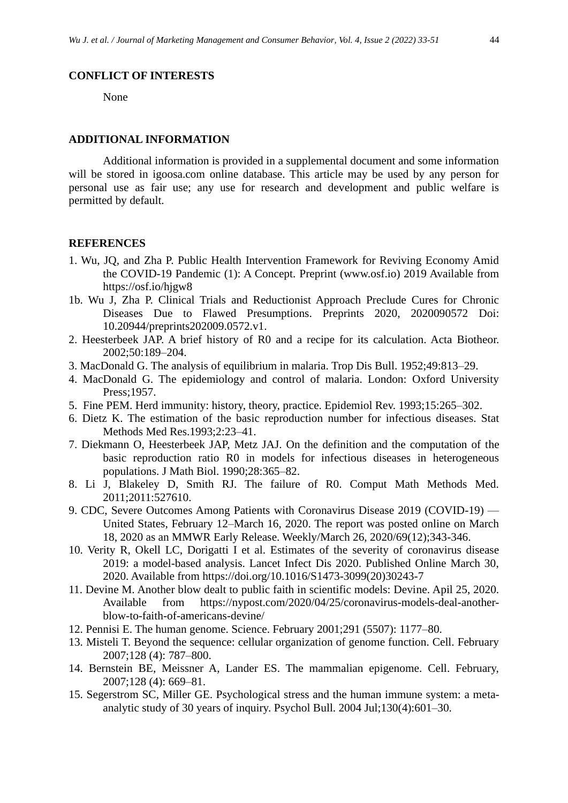#### **CONFLICT OF INTERESTS**

None

#### **ADDITIONAL INFORMATION**

Additional information is provided in a supplemental document and some information will be stored in igoosa.com online database. This article may be used by any person for personal use as fair use; any use for research and development and public welfare is permitted by default.

#### **REFERENCES**

- 1. Wu, JQ, and Zha P. Public Health Intervention Framework for Reviving Economy Amid the COVID-19 Pandemic (1): A Concept. Preprint (www.osf.io) 2019 Available from https://osf.io/hjgw8
- 1b. Wu J, Zha P. Clinical Trials and Reductionist Approach Preclude Cures for Chronic Diseases Due to Flawed Presumptions. Preprints 2020, 2020090572 Doi: 10.20944/preprints202009.0572.v1.
- 2. Heesterbeek JAP. A brief history of R0 and a recipe for its calculation. Acta Biotheor. 2002;50:189–204.
- 3. MacDonald G. The analysis of equilibrium in malaria. Trop Dis Bull. 1952;49:813–29.
- 4. MacDonald G. The epidemiology and control of malaria. London: Oxford University Press;1957.
- 5. Fine PEM. Herd immunity: history, theory, practice. Epidemiol Rev. 1993;15:265–302.
- 6. Dietz K. The estimation of the basic reproduction number for infectious diseases. Stat Methods Med Res.1993;2:23–41.
- 7. Diekmann O, Heesterbeek JAP, Metz JAJ. On the definition and the computation of the basic reproduction ratio R0 in models for infectious diseases in heterogeneous populations. J Math Biol. 1990;28:365–82.
- 8. Li J, Blakeley D, Smith RJ. The failure of R0. Comput Math Methods Med. 2011;2011:527610.
- 9. CDC, Severe Outcomes Among Patients with Coronavirus Disease 2019 (COVID-19) United States, February 12–March 16, 2020. The report was posted online on March 18, 2020 as an MMWR Early Release. Weekly/March 26, 2020/69(12);343-346.
- 10. Verity R, Okell LC, Dorigatti I et al. Estimates of the severity of coronavirus disease 2019: a model-based analysis. Lancet Infect Dis 2020. Published Online March 30, 2020. Available from https://doi.org/10.1016/S1473-3099(20)30243-7
- 11. Devine M. Another blow dealt to public faith in scientific models: Devine. Apil 25, 2020. Available from https://nypost.com/2020/04/25/coronavirus-models-deal-anotherblow-to-faith-of-americans-devine/
- 12. Pennisi E. The human genome. Science. February 2001;291 (5507): 1177–80.
- 13. Misteli T. Beyond the sequence: cellular organization of genome function. Cell. February 2007;128 (4): 787–800.
- 14. Bernstein BE, Meissner A, Lander ES. The mammalian epigenome. Cell. February, 2007;128 (4): 669–81.
- 15. Segerstrom SC, Miller GE. Psychological stress and the human immune system: a metaanalytic study of 30 years of inquiry. Psychol Bull. 2004 Jul;130(4):601–30.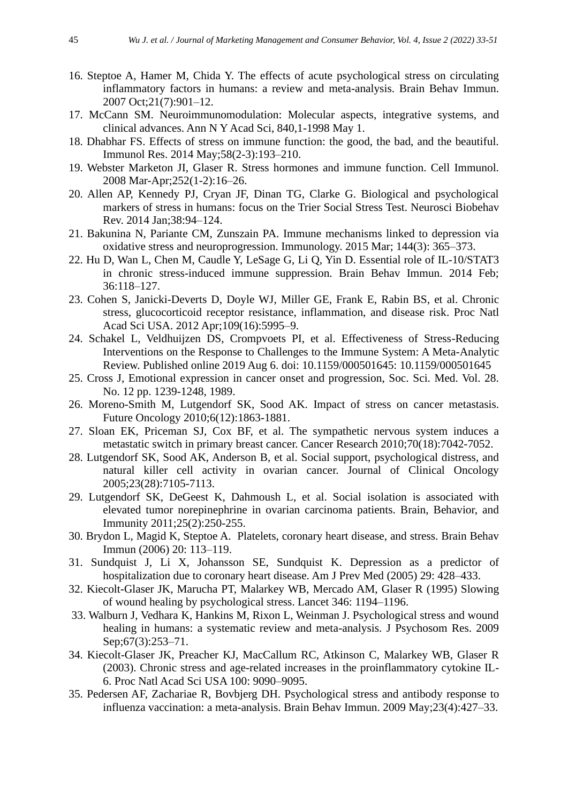- 16. Steptoe A, Hamer M, Chida Y. The effects of acute psychological stress on circulating inflammatory factors in humans: a review and meta-analysis. Brain Behav Immun. 2007 Oct;21(7):901–12.
- 17. McCann SM. Neuroimmunomodulation: Molecular aspects, integrative systems, and clinical advances. Ann N Y Acad Sci, 840,1-1998 May 1.
- 18. Dhabhar FS. Effects of stress on immune function: the good, the bad, and the beautiful. Immunol Res. 2014 May;58(2-3):193–210.
- 19. Webster Marketon JI, Glaser R. Stress hormones and immune function. Cell Immunol. 2008 Mar-Apr;252(1-2):16–26.
- 20. Allen AP, Kennedy PJ, Cryan JF, Dinan TG, Clarke G. Biological and psychological markers of stress in humans: focus on the Trier Social Stress Test. Neurosci Biobehav Rev. 2014 Jan;38:94–124.
- 21. Bakunina N, Pariante CM, Zunszain PA. Immune mechanisms linked to depression via oxidative stress and neuroprogression. Immunology. 2015 Mar; 144(3): 365–373.
- 22. Hu D, Wan L, Chen M, Caudle Y, LeSage G, Li Q, Yin D. Essential role of IL-10/STAT3 in chronic stress-induced immune suppression. Brain Behav Immun. 2014 Feb; 36:118–127.
- 23. Cohen S, Janicki-Deverts D, Doyle WJ, Miller GE, Frank E, Rabin BS, et al. Chronic stress, glucocorticoid receptor resistance, inflammation, and disease risk. Proc Natl Acad Sci USA. 2012 Apr;109(16):5995–9.
- 24. Schakel L, Veldhuijzen DS, Crompvoets PI, et al. Effectiveness of Stress-Reducing Interventions on the Response to Challenges to the Immune System: A Meta-Analytic Review. Published online 2019 Aug 6. doi: 10.1159/000501645: 10.1159/000501645
- 25. Cross J, Emotional expression in cancer onset and progression, Soc. Sci. Med. Vol. 28. No. 12 pp. 1239-1248, 1989.
- 26. Moreno-Smith M, Lutgendorf SK, Sood AK. Impact of stress on cancer metastasis. Future Oncology 2010;6(12):1863-1881.
- 27. Sloan EK, Priceman SJ, Cox BF, et al. The sympathetic nervous system induces a metastatic switch in primary breast cancer. Cancer Research 2010;70(18):7042-7052.
- 28. Lutgendorf SK, Sood AK, Anderson B, et al. Social support, psychological distress, and natural killer cell activity in ovarian cancer. Journal of Clinical Oncology 2005;23(28):7105-7113.
- 29. Lutgendorf SK, DeGeest K, Dahmoush L, et al. Social isolation is associated with elevated tumor norepinephrine in ovarian carcinoma patients. Brain, Behavior, and Immunity 2011;25(2):250-255.
- 30. Brydon L, Magid K, Steptoe A. Platelets, coronary heart disease, and stress. Brain Behav Immun (2006) 20: 113–119.
- 31. Sundquist J, Li X, Johansson SE, Sundquist K. Depression as a predictor of hospitalization due to coronary heart disease. Am J Prev Med (2005) 29: 428–433.
- 32. Kiecolt-Glaser JK, Marucha PT, Malarkey WB, Mercado AM, Glaser R (1995) Slowing of wound healing by psychological stress. Lancet 346: 1194–1196.
- 33. Walburn J, Vedhara K, Hankins M, Rixon L, Weinman J. Psychological stress and wound healing in humans: a systematic review and meta-analysis. J Psychosom Res. 2009 Sep; 67(3): 253–71.
- 34. Kiecolt-Glaser JK, Preacher KJ, MacCallum RC, Atkinson C, Malarkey WB, Glaser R (2003). Chronic stress and age-related increases in the proinflammatory cytokine IL-6. Proc Natl Acad Sci USA 100: 9090–9095.
- 35. Pedersen AF, Zachariae R, Bovbjerg DH. Psychological stress and antibody response to influenza vaccination: a meta-analysis. Brain Behav Immun. 2009 May;23(4):427–33.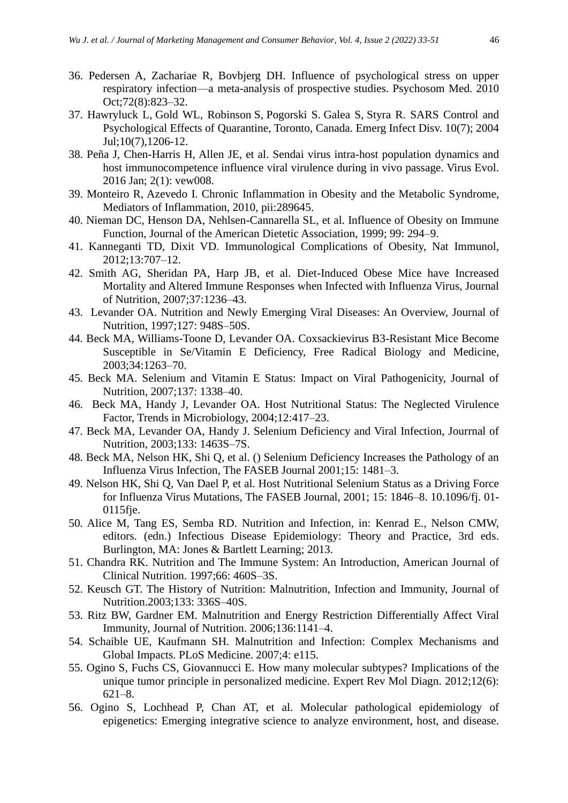- 36. Pedersen A, Zachariae R, Bovbjerg DH. Influence of psychological stress on upper respiratory infection—a meta-analysis of prospective studies. Psychosom Med. 2010 Oct;72(8):823–32.
- 37. Hawryluck L, Gold WL, Robinson S, Pogorski S. Galea S, Styra R. SARS Control and Psychological Effects of Quarantine, Toronto, Canada. Emerg Infect Disv. 10(7); 2004 Jul;10(7),1206-12.
- 38. Peña J, Chen-Harris H, Allen JE, et al. Sendai virus intra-host population dynamics and host immunocompetence influence viral virulence during in vivo passage. Virus Evol. 2016 Jan; 2(1): vew008.
- 39. Monteiro R, Azevedo I. Chronic Inflammation in Obesity and the Metabolic Syndrome, Mediators of Inflammation, 2010, pii:289645.
- 40. Nieman DC, Henson DA, Nehlsen-Cannarella SL, et al. Influence of Obesity on Immune Function, Journal of the American Dietetic Association, 1999; 99: 294–9.
- 41. Kanneganti TD, Dixit VD. Immunological Complications of Obesity, Nat Immunol, 2012;13:707–12.
- 42. Smith AG, Sheridan PA, Harp JB, et al. Diet-Induced Obese Mice have Increased Mortality and Altered Immune Responses when Infected with Influenza Virus, Journal of Nutrition, 2007;37:1236–43.
- 43. Levander OA. Nutrition and Newly Emerging Viral Diseases: An Overview, Journal of Nutrition, 1997;127: 948S–50S.
- 44. Beck MA, Williams-Toone D, Levander OA. Coxsackievirus B3-Resistant Mice Become Susceptible in Se/Vitamin E Deficiency, Free Radical Biology and Medicine, 2003;34:1263–70.
- 45. Beck MA. Selenium and Vitamin E Status: Impact on Viral Pathogenicity, Journal of Nutrition, 2007;137: 1338–40.
- 46. Beck MA, Handy J, Levander OA. Host Nutritional Status: The Neglected Virulence Factor, Trends in Microbiology, 2004;12:417–23.
- 47. Beck MA, Levander OA, Handy J. Selenium Deficiency and Viral Infection, Jourrnal of Nutrition, 2003;133: 1463S–7S.
- 48. Beck MA, Nelson HK, Shi Q, et al. () Selenium Deficiency Increases the Pathology of an Influenza Virus Infection, The FASEB Journal 2001;15: 1481–3.
- 49. Nelson HK, Shi Q, Van Dael P, et al. Host Nutritional Selenium Status as a Driving Force for Influenza Virus Mutations, The FASEB Journal, 2001; 15: 1846–8. 10.1096/fj. 01- 0115fje.
- 50. Alice M, Tang ES, Semba RD. Nutrition and Infection, in: Kenrad E., Nelson CMW, editors. (edn.) Infectious Disease Epidemiology: Theory and Practice, 3rd eds. Burlington, MA: Jones & Bartlett Learning; 2013.
- 51. Chandra RK. Nutrition and The Immune System: An Introduction, American Journal of Clinical Nutrition. 1997;66: 460S–3S.
- 52. Keusch GT. The History of Nutrition: Malnutrition, Infection and Immunity, Journal of Nutrition.2003;133: 336S–40S.
- 53. Ritz BW, Gardner EM. Malnutrition and Energy Restriction Differentially Affect Viral Immunity, Journal of Nutrition. 2006;136:1141–4.
- 54. Schaible UE, Kaufmann SH. Malnutrition and Infection: Complex Mechanisms and Global Impacts. PLoS Medicine. 2007;4: e115.
- 55. Ogino S, Fuchs CS, Giovannucci E. How many molecular subtypes? Implications of the unique tumor principle in personalized medicine. Expert Rev Mol Diagn. 2012;12(6): 621–8.
- 56. Ogino S, Lochhead P, Chan AT, et al. Molecular pathological epidemiology of epigenetics: Emerging integrative science to analyze environment, host, and disease.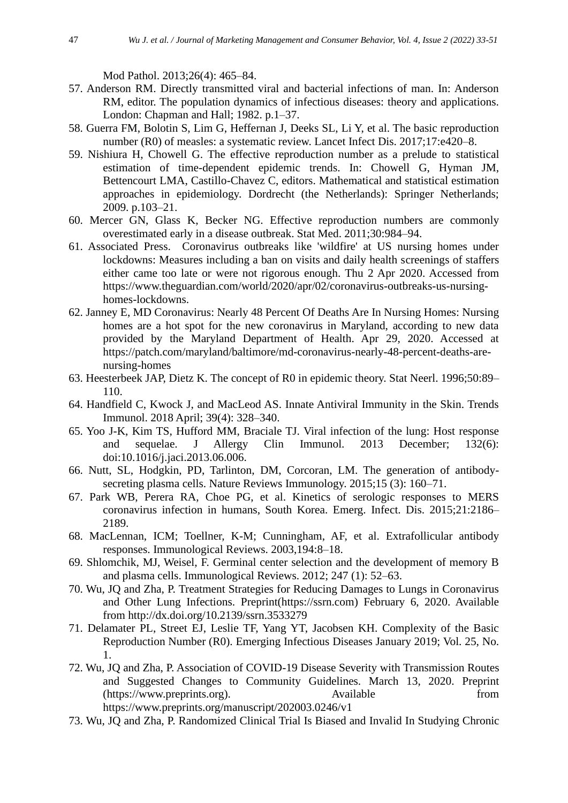Mod Pathol. 2013;26(4): 465–84.

- 57. Anderson RM. Directly transmitted viral and bacterial infections of man. In: Anderson RM, editor. The population dynamics of infectious diseases: theory and applications. London: Chapman and Hall; 1982. p.1–37.
- 58. Guerra FM, Bolotin S, Lim G, Heffernan J, Deeks SL, Li Y, et al. The basic reproduction number (R0) of measles: a systematic review. Lancet Infect Dis. 2017;17:e420–8.
- 59. Nishiura H, Chowell G. The effective reproduction number as a prelude to statistical estimation of time-dependent epidemic trends. In: Chowell G, Hyman JM, Bettencourt LMA, Castillo-Chavez C, editors. Mathematical and statistical estimation approaches in epidemiology. Dordrecht (the Netherlands): Springer Netherlands; 2009. p.103–21.
- 60. Mercer GN, Glass K, Becker NG. Effective reproduction numbers are commonly overestimated early in a disease outbreak. Stat Med. 2011;30:984–94.
- 61. Associated Press. Coronavirus outbreaks like 'wildfire' at US nursing homes under lockdowns: Measures including a ban on visits and daily health screenings of staffers either came too late or were not rigorous enough. Thu 2 Apr 2020. Accessed from https://www.theguardian.com/world/2020/apr/02/coronavirus-outbreaks-us-nursinghomes-lockdowns.
- 62. Janney E, MD Coronavirus: Nearly 48 Percent Of Deaths Are In Nursing Homes: Nursing homes are a hot spot for the new coronavirus in Maryland, according to new data provided by the Maryland Department of Health. Apr 29, 2020. Accessed at https://patch.com/maryland/baltimore/md-coronavirus-nearly-48-percent-deaths-arenursing-homes
- 63. Heesterbeek JAP, Dietz K. The concept of R0 in epidemic theory. Stat Neerl. 1996;50:89– 110.
- 64. Handfield C, Kwock J, and MacLeod AS. Innate Antiviral Immunity in the Skin. Trends Immunol. 2018 April; 39(4): 328–340.
- 65. Yoo J-K, Kim TS, Hufford MM, Braciale TJ. Viral infection of the lung: Host response and sequelae. J Allergy Clin Immunol. 2013 December; 132(6): doi:10.1016/j.jaci.2013.06.006.
- 66. Nutt, SL, Hodgkin, PD, Tarlinton, DM, Corcoran, LM. The generation of antibodysecreting plasma cells. Nature Reviews Immunology. 2015;15 (3): 160–71.
- 67. Park WB, Perera RA, Choe PG, et al. Kinetics of serologic responses to MERS coronavirus infection in humans, South Korea. Emerg. Infect. Dis. 2015;21:2186– 2189.
- 68. MacLennan, ICM; Toellner, K-M; Cunningham, AF, et al. Extrafollicular antibody responses. Immunological Reviews. 2003,194:8–18.
- 69. Shlomchik, MJ, Weisel, F. Germinal center selection and the development of memory B and plasma cells. Immunological Reviews. 2012; 247 (1): 52–63.
- 70. Wu, JQ and Zha, P. Treatment Strategies for Reducing Damages to Lungs in Coronavirus and Other Lung Infections. Preprint(https://ssrn.com) February 6, 2020. Available from http://dx.doi.org/10.2139/ssrn.3533279
- 71. Delamater PL, Street EJ, Leslie TF, Yang YT, Jacobsen KH. Complexity of the Basic Reproduction Number (R0). Emerging Infectious Diseases January 2019; Vol. 25, No. 1.
- 72. Wu, JQ and Zha, P. Association of COVID-19 Disease Severity with Transmission Routes and Suggested Changes to Community Guidelines. March 13, 2020. Preprint (https://www.preprints.org). Available from https://www.preprints.org/manuscript/202003.0246/v1
- 73. Wu, JQ and Zha, P. Randomized Clinical Trial Is Biased and Invalid In Studying Chronic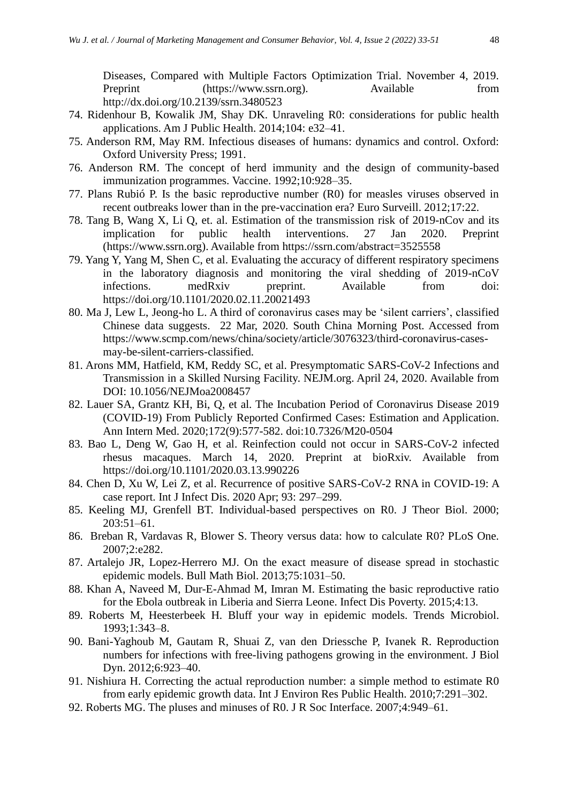Diseases, Compared with Multiple Factors Optimization Trial. November 4, 2019. Preprint (https://www.ssrn.org). Available from http://dx.doi.org/10.2139/ssrn.3480523

- 74. Ridenhour B, Kowalik JM, Shay DK. Unraveling R0: considerations for public health applications. Am J Public Health. 2014;104: e32–41.
- 75. Anderson RM, May RM. Infectious diseases of humans: dynamics and control. Oxford: Oxford University Press; 1991.
- 76. Anderson RM. The concept of herd immunity and the design of community-based immunization programmes. Vaccine. 1992;10:928–35.
- 77. Plans Rubió P. Is the basic reproductive number (R0) for measles viruses observed in recent outbreaks lower than in the pre-vaccination era? Euro Surveill. 2012;17:22.
- 78. Tang B, Wang X, Li Q, et. al. Estimation of the transmission risk of 2019-nCov and its implication for public health interventions. 27 Jan 2020. Preprint (https://www.ssrn.org). Available from https://ssrn.com/abstract=3525558
- 79. Yang Y, Yang M, Shen C, et al. Evaluating the accuracy of different respiratory specimens in the laboratory diagnosis and monitoring the viral shedding of 2019-nCoV infections. medRxiv preprint. Available from doi: https://doi.org/10.1101/2020.02.11.20021493
- 80. Ma J, Lew L, Jeong-ho L. A third of coronavirus cases may be 'silent carriers', classified Chinese data suggests. 22 Mar, 2020. South China Morning Post. Accessed from https://www.scmp.com/news/china/society/article/3076323/third-coronavirus-casesmay-be-silent-carriers-classified.
- 81. Arons MM, Hatfield, KM, Reddy SC, et al. Presymptomatic SARS-CoV-2 Infections and Transmission in a Skilled Nursing Facility. NEJM.org. April 24, 2020. Available from DOI: 10.1056/NEJMoa2008457
- 82. Lauer SA, Grantz KH, Bi, Q, et al. The Incubation Period of Coronavirus Disease 2019 (COVID-19) From Publicly Reported Confirmed Cases: Estimation and Application. Ann Intern Med. 2020;172(9):577-582. doi:10.7326/M20-0504
- 83. Bao L, Deng W, Gao H, et al. Reinfection could not occur in SARS-CoV-2 infected rhesus macaques. March 14, 2020. Preprint at bioRxiv. Available from https://doi.org/10.1101/2020.03.13.990226
- 84. Chen D, Xu W, Lei Z, et al. Recurrence of positive SARS-CoV-2 RNA in COVID-19: A case report. Int J Infect Dis. 2020 Apr; 93: 297–299.
- 85. Keeling MJ, Grenfell BT. Individual-based perspectives on R0. J Theor Biol. 2000; 203:51–61.
- 86. Breban R, Vardavas R, Blower S. Theory versus data: how to calculate R0? PLoS One. 2007;2:e282.
- 87. Artalejo JR, Lopez-Herrero MJ. On the exact measure of disease spread in stochastic epidemic models. Bull Math Biol. 2013;75:1031–50.
- 88. Khan A, Naveed M, Dur-E-Ahmad M, Imran M. Estimating the basic reproductive ratio for the Ebola outbreak in Liberia and Sierra Leone. Infect Dis Poverty. 2015;4:13.
- 89. Roberts M, Heesterbeek H. Bluff your way in epidemic models. Trends Microbiol. 1993;1:343–8.
- 90. Bani-Yaghoub M, Gautam R, Shuai Z, van den Driessche P, Ivanek R. Reproduction numbers for infections with free-living pathogens growing in the environment. J Biol Dyn. 2012;6:923–40.
- 91. Nishiura H. Correcting the actual reproduction number: a simple method to estimate R0 from early epidemic growth data. Int J Environ Res Public Health. 2010;7:291–302.
- 92. Roberts MG. The pluses and minuses of R0. J R Soc Interface. 2007;4:949–61.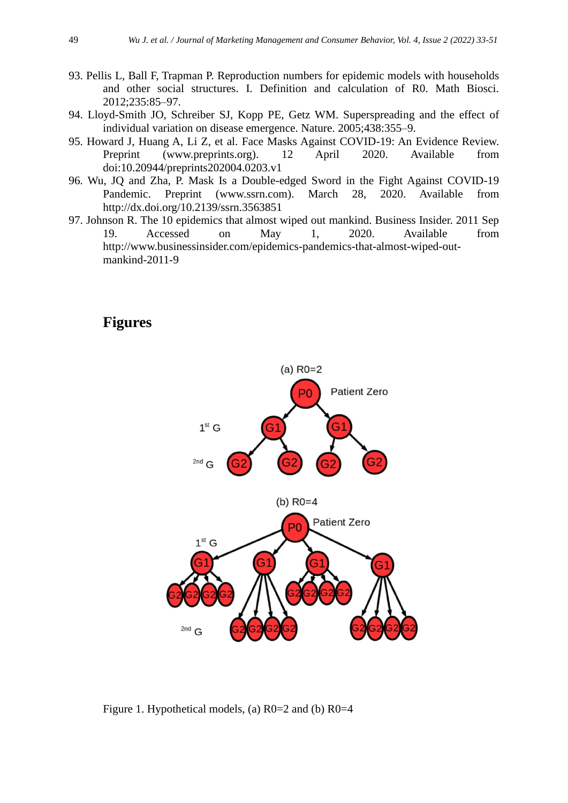- 93. Pellis L, Ball F, Trapman P. Reproduction numbers for epidemic models with households and other social structures. I. Definition and calculation of R0. Math Biosci. 2012;235:85–97.
- 94. Lloyd-Smith JO, Schreiber SJ, Kopp PE, Getz WM. Superspreading and the effect of individual variation on disease emergence. Nature. 2005;438:355–9.
- 95. Howard J, Huang A, Li Z, et al. Face Masks Against COVID-19: An Evidence Review. Preprint (www.preprints.org). 12 April 2020. Available from doi:10.20944/preprints202004.0203.v1
- 96. Wu, JQ and Zha, P. Mask Is a Double-edged Sword in the Fight Against COVID-19 Pandemic. Preprint (www.ssrn.com). March 28, 2020. Available from http://dx.doi.org/10.2139/ssrn.3563851
- 97. Johnson R. The 10 epidemics that almost wiped out mankind. Business Insider. 2011 Sep 19. Accessed on May 1, 2020. Available from http://www.businessinsider.com/epidemics-pandemics-that-almost-wiped-outmankind-2011-9

## **Figures**



Figure 1. Hypothetical models, (a)  $R0=2$  and (b)  $R0=4$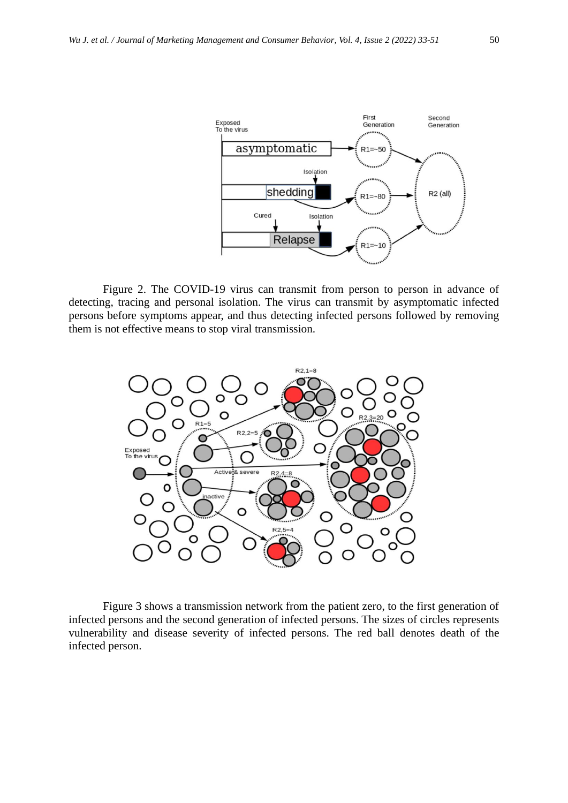

Figure 2. The COVID-19 virus can transmit from person to person in advance of detecting, tracing and personal isolation. The virus can transmit by asymptomatic infected persons before symptoms appear, and thus detecting infected persons followed by removing them is not effective means to stop viral transmission.



Figure 3 shows a transmission network from the patient zero, to the first generation of infected persons and the second generation of infected persons. The sizes of circles represents vulnerability and disease severity of infected persons. The red ball denotes death of the infected person.